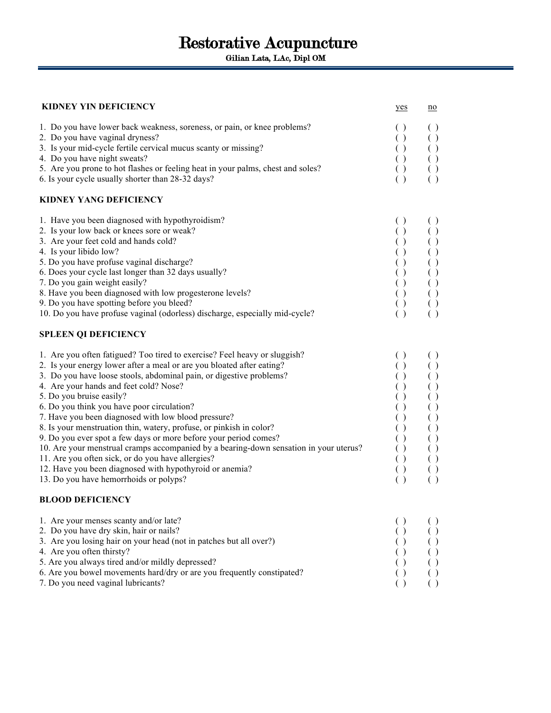Gilian Lata, LAc, Dipl OM

## **KIDNEY YIN DEFICIENCY** yes no

| 1. Do you have lower back weakness, soreness, or pain, or knee problems?<br>2. Do you have vaginal dryness?<br>3. Is your mid-cycle fertile cervical mucus scanty or missing?<br>4. Do you have night sweats?<br>5. Are you prone to hot flashes or feeling heat in your palms, chest and soles?<br>6. Is your cycle usually shorter than 28-32 days?<br><b>KIDNEY YANG DEFICIENCY</b>                                                                                                                                                                                                                                                                                                                                                                                                                                            | ( )<br>( )<br>$\left( \ \right)$<br>$\left( \ \right)$<br>( )<br>$\left( \ \right)$                                                                                                                                                            |                                                                                                |
|-----------------------------------------------------------------------------------------------------------------------------------------------------------------------------------------------------------------------------------------------------------------------------------------------------------------------------------------------------------------------------------------------------------------------------------------------------------------------------------------------------------------------------------------------------------------------------------------------------------------------------------------------------------------------------------------------------------------------------------------------------------------------------------------------------------------------------------|------------------------------------------------------------------------------------------------------------------------------------------------------------------------------------------------------------------------------------------------|------------------------------------------------------------------------------------------------|
| 1. Have you been diagnosed with hypothyroidism?<br>2. Is your low back or knees sore or weak?<br>3. Are your feet cold and hands cold?<br>4. Is your libido low?<br>5. Do you have profuse vaginal discharge?<br>6. Does your cycle last longer than 32 days usually?<br>7. Do you gain weight easily?<br>8. Have you been diagnosed with low progesterone levels?<br>9. Do you have spotting before you bleed?<br>10. Do you have profuse vaginal (odorless) discharge, especially mid-cycle?                                                                                                                                                                                                                                                                                                                                    | $\left( \ \right)$<br>$\left( \ \right)$<br>( )<br>( )<br>$\left( \ \right)$<br>$\left( \ \right)$<br>( )<br>$\left( \ \right)$<br>$\begin{array}{c} \left(\begin{array}{c} \right) \\ \left(\begin{array}{c} \right) \end{array} \end{array}$ | $\left( \ \right)$                                                                             |
| <b>SPLEEN QI DEFICIENCY</b><br>1. Are you often fatigued? Too tired to exercise? Feel heavy or sluggish?<br>2. Is your energy lower after a meal or are you bloated after eating?<br>3. Do you have loose stools, abdominal pain, or digestive problems?<br>4. Are your hands and feet cold? Nose?<br>5. Do you bruise easily?<br>6. Do you think you have poor circulation?<br>7. Have you been diagnosed with low blood pressure?<br>8. Is your menstruation thin, watery, profuse, or pinkish in color?<br>9. Do you ever spot a few days or more before your period comes?<br>10. Are your menstrual cramps accompanied by a bearing-down sensation in your uterus?<br>11. Are you often sick, or do you have allergies?<br>12. Have you been diagnosed with hypothyroid or anemia?<br>13. Do you have hemorrhoids or polyps? | $\left( \right)$<br>( )<br>( )<br>( )<br>( )<br>( )<br>( )<br>( )<br>( )<br>( )<br>$\left( \ \right)$<br>( )<br>( )                                                                                                                            |                                                                                                |
| <b>BLOOD DEFICIENCY</b><br>1. Are your menses scanty and/or late?<br>2. Do you have dry skin, hair or nails?<br>3. Are you losing hair on your head (not in patches but all over?)<br>4. Are you often thirsty?<br>5. Are you always tired and/or mildly depressed?                                                                                                                                                                                                                                                                                                                                                                                                                                                                                                                                                               | $\left( \ \right)$<br>$\left( \ \right)$<br>$\left( \ \right)$<br>( )<br>( )                                                                                                                                                                   | $\left( \ \right)$<br>$\begin{array}{c} ( \ ) \\ ( \ ) \\ ( \ ) \\ ( \ ) \\ ( \ ) \end{array}$ |

6. Are you bowel movements hard/dry or are you frequently constipated? ( ) ( ) 7. Do you need vaginal lubricants? (a)  $( )$  (b) (b)